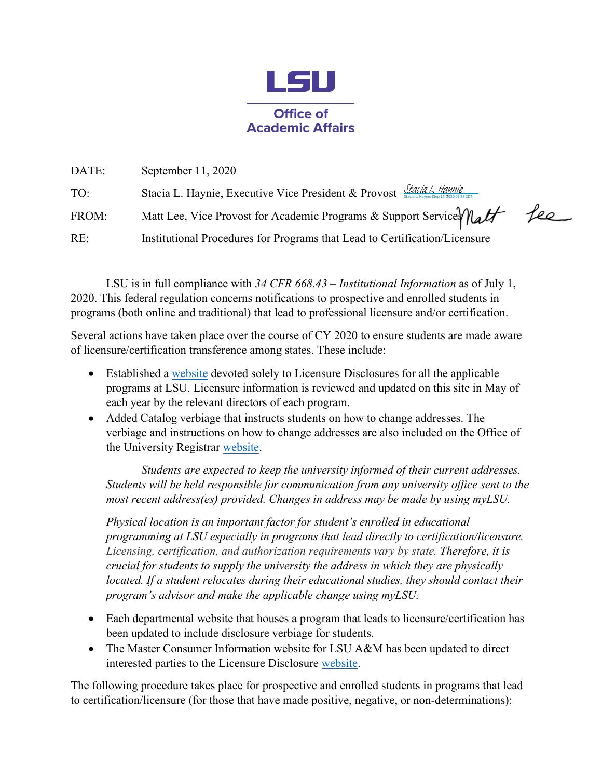

| DATE: | September 11, 2020                                                         |     |
|-------|----------------------------------------------------------------------------|-----|
| TO:   | Stacia L. Haynie, Executive Vice President & Provost Stacia L. Haynie      |     |
| FROM: | Matt Lee, Vice Provost for Academic Programs & Support Service Matt        | fee |
| RE:   | Institutional Procedures for Programs that Lead to Certification/Licensure |     |

LSU is in full compliance with *34 CFR 668.43 – Institutional Information* as of July 1, 2020. This federal regulation concerns notifications to prospective and enrolled students in programs (both online and traditional) that lead to professional licensure and/or certification.

Several actions have taken place over the course of CY 2020 to ensure students are made aware of licensure/certification transference among states. These include:

- Established a [website](https://www.lsu.edu/academicaffairs/licensuredisclosure/licensuredisclosures.php) devoted solely to Licensure Disclosures for all the applicable programs at LSU. Licensure information is reviewed and updated on this site in May of each year by the relevant directors of each program.
- Added Catalog verbiage that instructs students on how to change addresses. The verbiage and instructions on how to change addresses are also included on the Office of the University Registrar [website.](https://lsu.edu/registrar/student-services/address-changes.php)

*Students are expected to keep the university informed of their current addresses. Students will be held responsible for communication from any university office sent to the most recent address(es) provided. Changes in address may be made by using myLSU.* 

*Physical location is an important factor for student's enrolled in educational programming at LSU especially in programs that lead directly to certification/licensure. Licensing, certification, and authorization requirements vary by state. Therefore, it is crucial for students to supply the university the address in which they are physically located. If a student relocates during their educational studies, they should contact their program's advisor and make the applicable change using myLSU.* 

- Each departmental website that houses a program that leads to licensure/certification has been updated to include disclosure verbiage for students.
- The Master Consumer Information website for LSU A&M has been updated to direct interested parties to the Licensure Disclosure [website.](https://www.lsu.edu/academicaffairs/licensuredisclosure/licensuredisclosures.php)

The following procedure takes place for prospective and enrolled students in programs that lead to certification/licensure (for those that have made positive, negative, or non-determinations):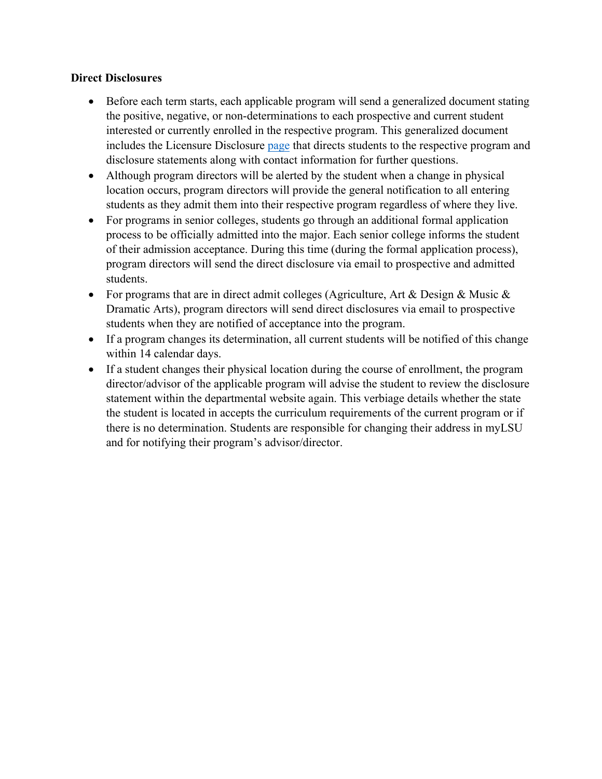## **Direct Disclosures**

- Before each term starts, each applicable program will send a generalized document stating the positive, negative, or non-determinations to each prospective and current student interested or currently enrolled in the respective program. This generalized document includes the Licensure Disclosur[e page](https://www.lsu.edu/academicaffairs/licensuredisclosure/licensuredisclosures.php) that directs students to the respective program and disclosure statements along with contact information for further questions.
- Although program directors will be alerted by the student when a change in physical location occurs, program directors will provide the general notification to all entering students as they admit them into their respective program regardless of where they live.
- For programs in senior colleges, students go through an additional formal application process to be officially admitted into the major. Each senior college informs the student of their admission acceptance. During this time (during the formal application process), program directors will send the direct disclosure via email to prospective and admitted students.
- For programs that are in direct admit colleges (Agriculture, Art & Design & Music  $\&$ Dramatic Arts), program directors will send direct disclosures via email to prospective students when they are notified of acceptance into the program.
- If a program changes its determination, all current students will be notified of this change within 14 calendar days.
- If a student changes their physical location during the course of enrollment, the program director/advisor of the applicable program will advise the student to review the disclosure statement within the departmental website again. This verbiage details whether the state the student is located in accepts the curriculum requirements of the current program or if there is no determination. Students are responsible for changing their address in myLSU and for notifying their program's advisor/director.